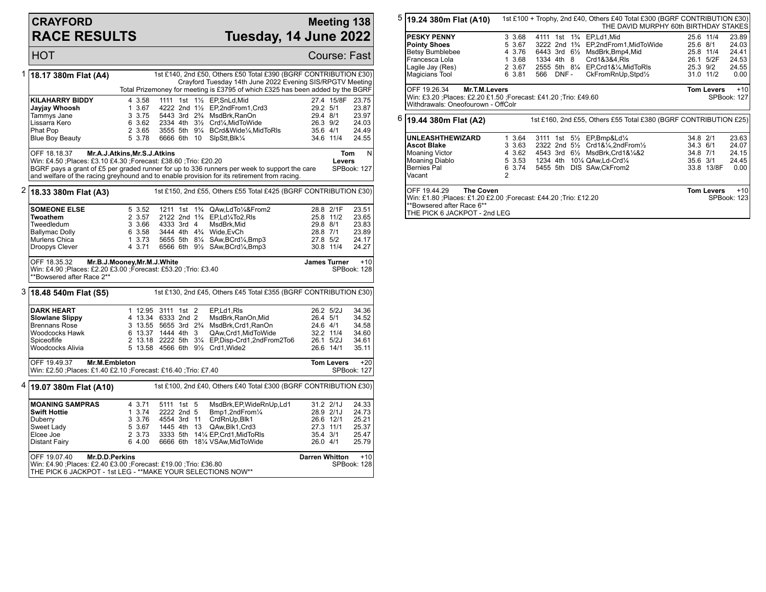## **CRAYFORD RACE RESULTS**

## **Meeting 138 Tuesday, 14 June 2022**

HOT Course: Fast 1 **18.17 380m Flat (A4)** 1st £140, 2nd £50, Others £50 Total £390 (BGRF CONTRIBUTION £30) Crayford Tuesday 14th June 2022 Evening SIS/RPGTV Meeting Total Prizemoney for meeting is £3795 of which £325 has been added by the BGRF **KILAHARRY BIDDY** 4 3.58 1111 1st 1<sup>1</sup>/<sub>2</sub> EP, SnLd, Mid 27.4 15/8F 23.75<br> **Jayjay Whoosh** 1 3.67 4222 2nd 1<sup>1</sup>/<sub>2</sub> EP, 2nd From 1, Crd3 29.2 5/1 23.87 **Jayjay Whoosh** 1 3.67 4222 2nd 1½ EP,2ndFrom1,Crd3 29.2 5/1 23.87 Tammys Jane 3 3.75 5443 3rd 2¾ MsdBrk,RanOn 29.4 8/1 23.97 Lissarra Kero 6 3.62 2334 4th 3½ Crd¼,MidToWide 26.3 9/2 24.03 Phat Pop 2 3.65 3555 5th 9¼ BCrd&Wide¼,MidToRls 35.6 4/1 24.49 6666 6th 10 SlpStt, Blk1/4 OFF 18.18.37 **Mr.A.J.Atkins,Mr.S.J.Atkins** Win: £4.50 ;Places: £3.10 £4.30 ;Forecast: £38.60 ;Trio: £20.20 BGRF pays a grant of £5 per graded runner for up to 336 runners per week to support the care and welfare of the racing greyhound and to enable provision for its retirement from racing. **Tom Levers** N SPBook: 127 2 **18.33 380m Flat (A3)** 1st £150, 2nd £55, Others £55 Total £425 (BGRF CONTRIBUTION £30) **SOMEONE ELSE** 5 3.52 1211 1st 1<sup>3</sup>/<sub>4</sub> QAw,LdTo<sup>1</sup>/&From2 28.8 2/1F 23.51<br>**Twoathem** 2 3.57 2122 2nd 1<sup>3</sup>/<sub>4</sub> EP.Ld<sup>1</sup>/4To2.Rls 25.8 11/2 23.65 **Twoathem** 2 3.57 2122 2nd 1¾ EP,Ld¼To2,Rls 25.8 11/2 23.65<br>19 Tweedledum 3 3.66 4333 3rd 4 MsdBrk.Mid 29.8 8/1 23.83 Tweedledum 3 3.66 4333 3rd 4 MsdBrk,Mid 29.8 8/1 23.83 Ballymac Dolly 6 3.58 3444 4th 4¾ Wide,EvCh 28.8 7/1 23.89 Murlens Chica 1 3.73 5655 5th 8¼ SAw,BCrd¼,Bmp3 27.8 5/2 24.17 6566 6th 9½ SAw, BCrd¼, Bmp3 OFF 18.35.32 **Mr.B.J.Mooney,Mr.M.J.White** Win: £4.90 ;Places: £2.20 £3.00 ;Forecast: £53.20 ;Trio: £3.40 \*\*Bowsered after Race 2\*\* **James Turner** +10 SPBook: 128 3 **18.48 540m Flat (S5)** 1st £130, 2nd £45, Others £45 Total £355 (BGRF CONTRIBUTION £30) **DARK HEART** 1 12.95 3111 1st 2 EP,Ld1,Rls 26.2 5/2J 34.36<br> **Slowlane Slippy** 34.52 4 13.34 6333 2nd 2 MsdBrk.RanOn.Mid 26.4 5/1 34.52 **Slowlane Slippy** 4 13.34 6333 2nd 2 MsdBrk,RanOn,Mid 26.4 5/1 34.52<br>Brennans Rose 3 13.55 5655 3rd 2<sup>9</sup>/4 MsdBrk,Crd1.RanOn 24.6 4/1 34.58 Brennans Rose 3 13.55 5655 3rd 2¾ MsdBrk,Crd1,RanOn 24.6 4/1 34.58 Woodcocks Hawk 6 13.37 1444 4th 3 QAw,Crd1,MidToWide 32.2 11/4 34.60<br>Spiceoflife 32.2 34.61 3222 5th 31/4 EP.Disp-Crd1.2ndFrom2To6 26.1 5/2J 34.61 Spiceoflife 26.1 5/2J 2013.18 2222 5th 31/4 EP,Disp-Crd1,2ndFrom2To6 26.1 5/2J 34.61<br>Woodcocks Alivia 26.1 5 13.58 4566 6th 91/2 Crd1.Wide2 26.6 14/1 35.11 5 13.58 4566 6th 91/2 Crd1, Wide2 OFF 19.49.37 **Mr.M.Embleton** Win: £2.50 ;Places: £1.40 £2.10 ;Forecast: £16.40 ;Trio: £7.40 **Tom Levers** +20 SPBook: 127 4 **19.07 380m Flat (A10)** 1st £100, 2nd £40, Others £40 Total £300 (BGRF CONTRIBUTION £30) **MOANING SAMPRAS** 4 3.71 5111 1st 5 MsdBrk,EP,WideRnUp,Ld1 31.2 2/1J 24.33<br>**Swift Hottie** 1 3.74 2222 2nd 5 Bmp1.2ndFrom1/<sub>4</sub> 28.9 2/1J 24.73 **Swift Hottie** 1 3.74 2222 2nd 5 Bmp1,2ndFrom¼ 28.9 2/1J 24.73 Duberry 3 3.76 4554 3rd 11 CrdRnUp,Blk1 26.6 12/1 25.21 Sweet Lady 5 3.67 1445 4th 13 QAw,Blk1,Crd3 27.3 11/1 25.37 Elcee Joe 2 3.73 3333 5th 14¼ EP,Crd1,MidToRls 35.4 3/1 25.47 6666 6th 18¼ VSAw,MidToWide OFF 19.07.40 **Mr.D.D.Perkins** Win: £4.90 ;Places: £2.40 £3.00 ;Forecast: £19.00 ;Trio: £36.80 **Darren Whitton +10** SPBook: 128

THE PICK 6 JACKPOT - 1st LEG - \*\*MAKE YOUR SELECTIONS NOW\*\*

5 **19.24 380m Flat (A10)** 1st £100 + Trophy, 2nd £40, Others £40 Total £300 (BGRF CONTRIBUTION £30) THE DAVID MURPHY 60th BIRTHDAY STAKES **PESKY PENNY** 3 3.68 4111 1st 1<sup>3</sup>/<sub>4</sub> EP,Ld1,Mid 35.6 11/4 23.89<br> **Pointy Shoes** 5 3.67 3222 2nd 1<sup>3</sup>/<sub>4</sub> EP,2ndFrom1,MidToWide 25.6 8/1 24.03 **Pointy Shoes** 5 3.67 3222 2nd 1<sup>2</sup>/<sub>4</sub> EP,2ndFrom1,MidToWide 25.6 8/1 24.03<br>Betsy Bumblebee 3 4 3.76 6443 3rd 6<sup>1</sup>/<sub>2</sub> MsdBrk,Bmp4,Mid 25.8 11/4 24.41 Betsy Bumblebee 4 3.76 6443 3rd 6½ MsdBrk,Bmp4,Mid 25.8 11/4 24.41 Francesca Lola 1 3.68 1334 4th 8 Crd1&3&4,Rls 26.1 5/2F 24.53 Lagile Jay (Res) 2 3.67 2555 5th 8¼ EP,Crd1&¼,MidToRls 25.3 9/2 24.55 6 3.81 566 DNF - CkFromRnUp, Stpd1/2 OFF 19.26.34 **Mr.T.M.Levers** Win: £3.20 ;Places: £2.20 £1.50 ;Forecast: £41.20 ;Trio: £49.60 Withdrawals: Oneofourown - OffColr **Tom Levers** +10 SPBook: 127 6 **19.44 380m Flat (A2)** 1st £160, 2nd £55, Others £55 Total £380 (BGRF CONTRIBUTION £25) **UNLEASHTHEWIZARD** 1 3.64 3111 1st 5½ EP,Bmp&Ld¼ 34.8 2/1 23.63<br>Ascot Blake 3 3.63 2322 2nd 5½ Crd1&¼.2ndFrom½ 34.3 6/1 24.07 **Ascot Blake** 3 3.63 2322 2nd 5<sup>1</sup>/<sub>2</sub> Crd1&<sup>1</sup>/<sub>4</sub>,2ndFrom<sup>1</sup>/<sub>2</sub> 34.3 6/1 24.07<br>Moaning Victor 34.3.62 4543 3rd 6<sup>1</sup>/<sub>2</sub> MsdBrk,Crd1&1/4&2 34.8 7/1 24.15 Moaning Victor 4 3.62 4543 3rd 6½ MsdBrk,Crd1&¼&2 34.8 7/1 24.15 Moaning Diablo 5 3.53 1234 4th 10¼ QAw,Ld-Crd¼ 35.6 3/1 24.45 5455 5th DIS SAw,CkFrom2 Vacant 2 OFF 19.44.29 **The Coven** Win: £1.80 ;Places: £1.20 £2.00 ;Forecast: £44.20 ;Trio: £12.20 \*\*Bowsered after Race 6\*\* THE PICK 6 JACKPOT - 2nd LEG **Tom Levers** +10 SPBook: 123